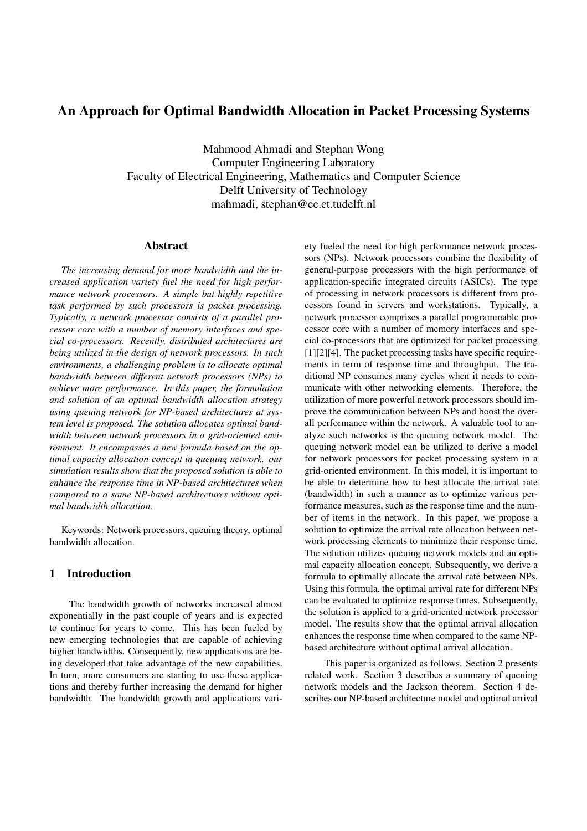# An Approach for Optimal Bandwidth Allocation in Packet Processing Systems

Mahmood Ahmadi and Stephan Wong Computer Engineering Laboratory Faculty of Electrical Engineering, Mathematics and Computer Science Delft University of Technology mahmadi, stephan@ce.et.tudelft.nl

### Abstract

*The increasing demand for more bandwidth and the increased application variety fuel the need for high performance network processors. A simple but highly repetitive task performed by such processors is packet processing. Typically, a network processor consists of a parallel processor core with a number of memory interfaces and special co-processors. Recently, distributed architectures are being utilized in the design of network processors. In such environments, a challenging problem is to allocate optimal bandwidth between different network processors (NPs) to achieve more performance. In this paper, the formulation and solution of an optimal bandwidth allocation strategy using queuing network for NP-based architectures at system level is proposed. The solution allocates optimal bandwidth between network processors in a grid-oriented environment. It encompasses a new formula based on the optimal capacity allocation concept in queuing network. our simulation results show that the proposed solution is able to enhance the response time in NP-based architectures when compared to a same NP-based architectures without optimal bandwidth allocation.*

Keywords: Network processors, queuing theory, optimal bandwidth allocation.

### 1 Introduction

The bandwidth growth of networks increased almost exponentially in the past couple of years and is expected to continue for years to come. This has been fueled by new emerging technologies that are capable of achieving higher bandwidths. Consequently, new applications are being developed that take advantage of the new capabilities. In turn, more consumers are starting to use these applications and thereby further increasing the demand for higher bandwidth. The bandwidth growth and applications variety fueled the need for high performance network processors (NPs). Network processors combine the flexibility of general-purpose processors with the high performance of application-specific integrated circuits (ASICs). The type of processing in network processors is different from processors found in servers and workstations. Typically, a network processor comprises a parallel programmable processor core with a number of memory interfaces and special co-processors that are optimized for packet processing [1][2][4]. The packet processing tasks have specific requirements in term of response time and throughput. The traditional NP consumes many cycles when it needs to communicate with other networking elements. Therefore, the utilization of more powerful network processors should improve the communication between NPs and boost the overall performance within the network. A valuable tool to analyze such networks is the queuing network model. The queuing network model can be utilized to derive a model for network processors for packet processing system in a grid-oriented environment. In this model, it is important to be able to determine how to best allocate the arrival rate (bandwidth) in such a manner as to optimize various performance measures, such as the response time and the number of items in the network. In this paper, we propose a solution to optimize the arrival rate allocation between network processing elements to minimize their response time. The solution utilizes queuing network models and an optimal capacity allocation concept. Subsequently, we derive a formula to optimally allocate the arrival rate between NPs. Using this formula, the optimal arrival rate for different NPs can be evaluated to optimize response times. Subsequently, the solution is applied to a grid-oriented network processor model. The results show that the optimal arrival allocation enhances the response time when compared to the same NPbased architecture without optimal arrival allocation.

This paper is organized as follows. Section 2 presents related work. Section 3 describes a summary of queuing network models and the Jackson theorem. Section 4 describes our NP-based architecture model and optimal arrival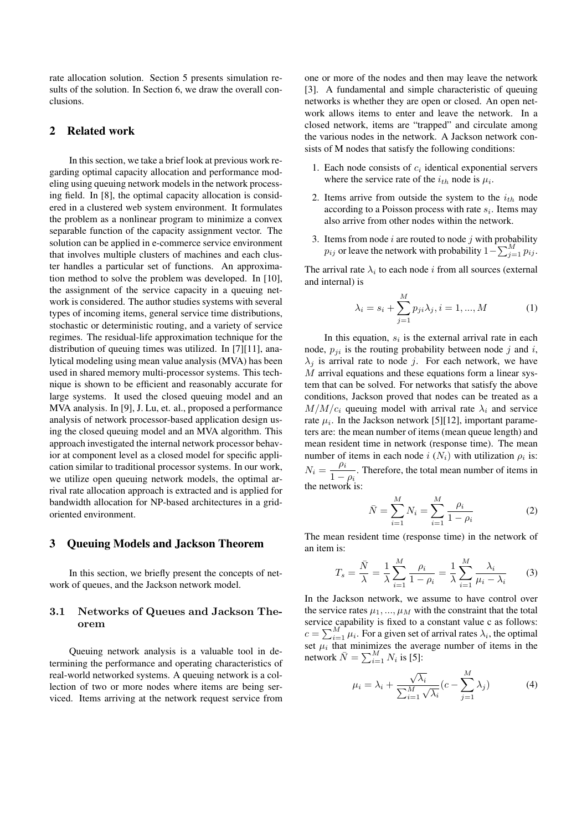rate allocation solution. Section 5 presents simulation results of the solution. In Section 6, we draw the overall conclusions.

#### 2 Related work

In this section, we take a brief look at previous work regarding optimal capacity allocation and performance modeling using queuing network models in the network processing field. In [8], the optimal capacity allocation is considered in a clustered web system environment. It formulates the problem as a nonlinear program to minimize a convex separable function of the capacity assignment vector. The solution can be applied in e-commerce service environment that involves multiple clusters of machines and each cluster handles a particular set of functions. An approximation method to solve the problem was developed. In [10], the assignment of the service capacity in a queuing network is considered. The author studies systems with several types of incoming items, general service time distributions, stochastic or deterministic routing, and a variety of service regimes. The residual-life approximation technique for the distribution of queuing times was utilized. In [7][11], analytical modeling using mean value analysis (MVA) has been used in shared memory multi-processor systems. This technique is shown to be efficient and reasonably accurate for large systems. It used the closed queuing model and an MVA analysis. In [9], J. Lu, et. al., proposed a performance analysis of network processor-based application design using the closed queuing model and an MVA algorithm. This approach investigated the internal network processor behavior at component level as a closed model for specific application similar to traditional processor systems. In our work, we utilize open queuing network models, the optimal arrival rate allocation approach is extracted and is applied for bandwidth allocation for NP-based architectures in a gridoriented environment.

#### 3 Queuing Models and Jackson Theorem

In this section, we briefly present the concepts of network of queues, and the Jackson network model.

## 3.1 Networks of Queues and Jackson Theorem

Queuing network analysis is a valuable tool in determining the performance and operating characteristics of real-world networked systems. A queuing network is a collection of two or more nodes where items are being serviced. Items arriving at the network request service from

one or more of the nodes and then may leave the network [3]. A fundamental and simple characteristic of queuing networks is whether they are open or closed. An open network allows items to enter and leave the network. In a closed network, items are "trapped" and circulate among the various nodes in the network. A Jackson network consists of M nodes that satisfy the following conditions:

- 1. Each node consists of  $c_i$  identical exponential servers where the service rate of the  $i_{th}$  node is  $\mu_i$ .
- 2. Items arrive from outside the system to the  $i_{th}$  node according to a Poisson process with rate  $s_i$ . Items may also arrive from other nodes within the network.
- 3. Items from node  $i$  are routed to node  $j$  with probability The network with probability  $p_{ij}$  or leave the network with probability  $1-\sum_{j=1}^{M} p_{ij}$ .

The arrival rate  $\lambda_i$  to each node i from all sources (external and internal) is

$$
\lambda_i = s_i + \sum_{j=1}^{M} p_{ji} \lambda_j, i = 1, ..., M
$$
 (1)

In this equation,  $s_i$  is the external arrival rate in each node,  $p_{ji}$  is the routing probability between node j and i,  $\lambda_i$  is arrival rate to node j. For each network, we have  $M$  arrival equations and these equations form a linear system that can be solved. For networks that satisfy the above conditions, Jackson proved that nodes can be treated as a  $M/M/c_i$  queuing model with arrival rate  $\lambda_i$  and service rate  $\mu_i$ . In the Jackson network [5][12], important parameters are: the mean number of items (mean queue length) and mean resident time in network (response time). The mean number of items in each node  $i(N_i)$  with utilization  $\rho_i$  is:  $N_i = \frac{\rho_i}{1}$  $\frac{\mu_i}{1-\rho_i}$ . Therefore, the total mean number of items in the network is:

$$
\bar{N} = \sum_{i=1}^{M} N_i = \sum_{i=1}^{M} \frac{\rho_i}{1 - \rho_i}
$$
 (2)

The mean resident time (response time) in the network of an item is:

$$
T_s = \frac{\bar{N}}{\lambda} = \frac{1}{\lambda} \sum_{i=1}^{M} \frac{\rho_i}{1 - \rho_i} = \frac{1}{\lambda} \sum_{i=1}^{M} \frac{\lambda_i}{\mu_i - \lambda_i}
$$
(3)

In the Jackson network, we assume to have control over the service rates  $\mu_1, ..., \mu_M$  with the constraint that the total service capability is fixed to a constant value c as follows: service capability is fixed to a constant value c as follows:<br>  $c = \sum_{i=1}^{M} \mu_i$ . For a given set of arrival rates  $\lambda_i$ , the optimal set  $\mu_i$  that minimizes the average number of items in the set  $\mu_i$  that minimizes the ave<br>network  $\bar{N} = \sum_{i=1}^{M} N_i$  is [5]:

$$
\mu_i = \lambda_i + \frac{\sqrt{\lambda_i}}{\sum_{i=1}^M \sqrt{\lambda_i}} (c - \sum_{j=1}^M \lambda_j)
$$
 (4)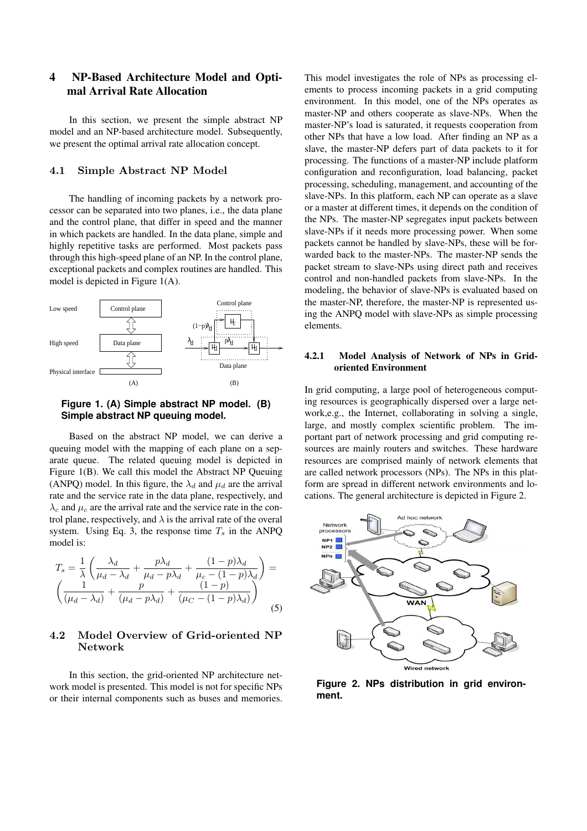# 4 NP-Based Architecture Model and Optimal Arrival Rate Allocation

In this section, we present the simple abstract NP model and an NP-based architecture model. Subsequently, we present the optimal arrival rate allocation concept.

#### 4.1 Simple Abstract NP Model

The handling of incoming packets by a network processor can be separated into two planes, i.e., the data plane and the control plane, that differ in speed and the manner in which packets are handled. In the data plane, simple and highly repetitive tasks are performed. Most packets pass through this high-speed plane of an NP. In the control plane, exceptional packets and complex routines are handled. This model is depicted in Figure 1(A).



### **Figure 1. (A) Simple abstract NP model. (B) Simple abstract NP queuing model.**

Based on the abstract NP model, we can derive a queuing model with the mapping of each plane on a separate queue. The related queuing model is depicted in Figure 1(B). We call this model the Abstract NP Queuing (ANPQ) model. In this figure, the  $\lambda_d$  and  $\mu_d$  are the arrival rate and the service rate in the data plane, respectively, and  $\lambda_c$  and  $\mu_c$  are the arrival rate and the service rate in the control plane, respectively, and  $\lambda$  is the arrival rate of the overal system. Using Eq. 3, the response time  $T_s$  in the ANPQ model is:

$$
T_s = \frac{1}{\lambda} \left( \frac{\lambda_d}{\mu_d - \lambda_d} + \frac{p\lambda_d}{\mu_d - p\lambda_d} + \frac{(1-p)\lambda_d}{\mu_c - (1-p)\lambda_d} \right) = \left( \frac{1}{(\mu_d - \lambda_d)} + \frac{p}{(\mu_d - p\lambda_d)} + \frac{(1-p)}{(\mu_c - (1-p)\lambda_d)} \right)
$$
(5)

# 4.2 Model Overview of Grid-oriented NP Network

In this section, the grid-oriented NP architecture network model is presented. This model is not for specific NPs or their internal components such as buses and memories. This model investigates the role of NPs as processing elements to process incoming packets in a grid computing environment. In this model, one of the NPs operates as master-NP and others cooperate as slave-NPs. When the master-NP's load is saturated, it requests cooperation from other NPs that have a low load. After finding an NP as a slave, the master-NP defers part of data packets to it for processing. The functions of a master-NP include platform configuration and reconfiguration, load balancing, packet processing, scheduling, management, and accounting of the slave-NPs. In this platform, each NP can operate as a slave or a master at different times, it depends on the condition of the NPs. The master-NP segregates input packets between slave-NPs if it needs more processing power. When some packets cannot be handled by slave-NPs, these will be forwarded back to the master-NPs. The master-NP sends the packet stream to slave-NPs using direct path and receives control and non-handled packets from slave-NPs. In the modeling, the behavior of slave-NPs is evaluated based on the master-NP, therefore, the master-NP is represented using the ANPQ model with slave-NPs as simple processing elements.

### 4.2.1 Model Analysis of Network of NPs in Gridoriented Environment

In grid computing, a large pool of heterogeneous computing resources is geographically dispersed over a large network,e.g., the Internet, collaborating in solving a single, large, and mostly complex scientific problem. The important part of network processing and grid computing resources are mainly routers and switches. These hardware resources are comprised mainly of network elements that are called network processors (NPs). The NPs in this platform are spread in different network environments and locations. The general architecture is depicted in Figure 2.



**Figure 2. NPs distribution in grid environment.**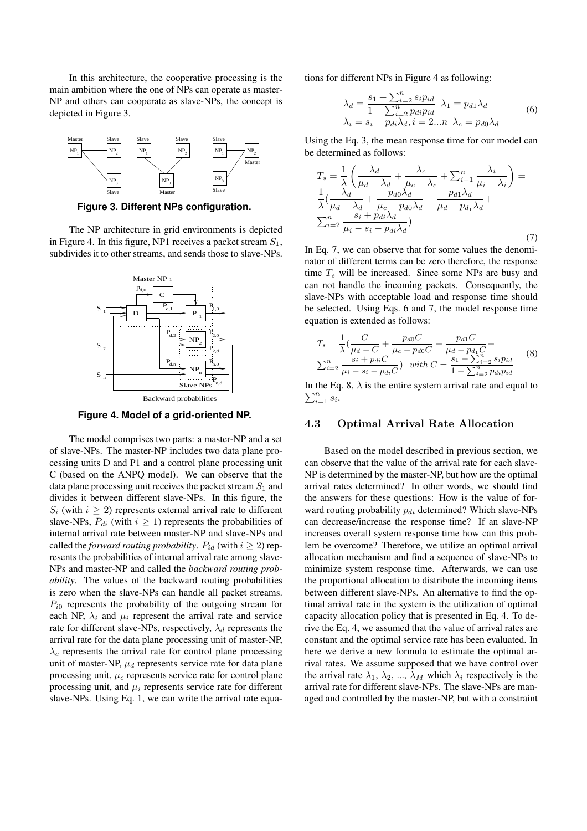In this architecture, the cooperative processing is the main ambition where the one of NPs can operate as master-NP and others can cooperate as slave-NPs, the concept is depicted in Figure 3.



**Figure 3. Different NPs configuration.**

The NP architecture in grid environments is depicted in Figure 4. In this figure, NP1 receives a packet stream  $S_1$ , subdivides it to other streams, and sends those to slave-NPs.



**Figure 4. Model of a grid-oriented NP.**

The model comprises two parts: a master-NP and a set of slave-NPs. The master-NP includes two data plane processing units D and P1 and a control plane processing unit C (based on the ANPQ model). We can observe that the data plane processing unit receives the packet stream  $S_1$  and divides it between different slave-NPs. In this figure, the  $S_i$  (with  $i \geq 2$ ) represents external arrival rate to different slave-NPs,  $P_{di}$  (with  $i \geq 1$ ) represents the probabilities of internal arrival rate between master-NP and slave-NPs and called the *forward routing probability*.  $P_{id}$  (with  $i \geq 2$ ) represents the probabilities of internal arrival rate among slave-NPs and master-NP and called the *backward routing probability*. The values of the backward routing probabilities is zero when the slave-NPs can handle all packet streams.  $P_{i0}$  represents the probability of the outgoing stream for each NP,  $\lambda_i$  and  $\mu_i$  represent the arrival rate and service rate for different slave-NPs, respectively,  $\lambda_d$  represents the arrival rate for the data plane processing unit of master-NP,  $\lambda_c$  represents the arrival rate for control plane processing unit of master-NP,  $\mu_d$  represents service rate for data plane processing unit,  $\mu_c$  represents service rate for control plane processing unit, and  $\mu_i$  represents service rate for different slave-NPs. Using Eq. 1, we can write the arrival rate equations for different NPs in Figure 4 as following:

$$
\lambda_d = \frac{s_1 + \sum_{i=2}^n s_i p_{id}}{1 - \sum_{i=2}^n p_{di} p_{id}} \lambda_1 = p_{d1} \lambda_d
$$
  
\n
$$
\lambda_i = s_i + p_{di} \lambda_d, i = 2...n \lambda_c = p_{d0} \lambda_d
$$
 (6)

Using the Eq. 3, the mean response time for our model can be determined as follows:

$$
T_s = \frac{1}{\lambda} \left( \frac{\lambda_d}{\mu_d - \lambda_d} + \frac{\lambda_c}{\mu_c - \lambda_c} + \sum_{i=1}^n \frac{\lambda_i}{\mu_i - \lambda_i} \right) =
$$
  
\n
$$
\frac{1}{\lambda} \left( \frac{\lambda_d}{\mu_d - \lambda_d} + \frac{p_{d0} \lambda_d}{\mu_c - p_{d0} \lambda_d} + \frac{p_{d1} \lambda_d}{\mu_d - p_{d1} \lambda_d} + \sum_{i=2}^n \frac{s_i + p_{di} \lambda_d}{\mu_i - s_i - p_{di} \lambda_d} \right)
$$
(7)

In Eq. 7, we can observe that for some values the denominator of different terms can be zero therefore, the response time  $T_s$  will be increased. Since some NPs are busy and can not handle the incoming packets. Consequently, the slave-NPs with acceptable load and response time should be selected. Using Eqs. 6 and 7, the model response time equation is extended as follows:

$$
T_s = \frac{1}{\lambda} \left( \frac{C}{\mu_d - C} + \frac{p_{d0}C}{\mu_c - p_{d0}C} + \frac{p_{d1}C}{\mu_d - p_{d1}C} + \right)
$$
  

$$
\sum_{i=2}^n \frac{s_i + p_{di}C}{\mu_i - s_i - p_{di}C} \right) \quad with \ C = \frac{s_1 + \sum_{i=2}^n s_i p_{id}}{1 - \sum_{i=2}^n p_{di} p_{id}}
$$
 (8)

In the Eq. 8,  $\lambda$  is the entire system arrival rate and equal to  $\sum_{i=1}^n s_i$ .

#### 4.3 Optimal Arrival Rate Allocation

Based on the model described in previous section, we can observe that the value of the arrival rate for each slave-NP is determined by the master-NP, but how are the optimal arrival rates determined? In other words, we should find the answers for these questions: How is the value of forward routing probability  $p_{di}$  determined? Which slave-NPs can decrease/increase the response time? If an slave-NP increases overall system response time how can this problem be overcome? Therefore, we utilize an optimal arrival allocation mechanism and find a sequence of slave-NPs to minimize system response time. Afterwards, we can use the proportional allocation to distribute the incoming items between different slave-NPs. An alternative to find the optimal arrival rate in the system is the utilization of optimal capacity allocation policy that is presented in Eq. 4. To derive the Eq. 4, we assumed that the value of arrival rates are constant and the optimal service rate has been evaluated. In here we derive a new formula to estimate the optimal arrival rates. We assume supposed that we have control over the arrival rate  $\lambda_1$ ,  $\lambda_2$ , ...,  $\lambda_M$  which  $\lambda_i$  respectively is the arrival rate for different slave-NPs. The slave-NPs are managed and controlled by the master-NP, but with a constraint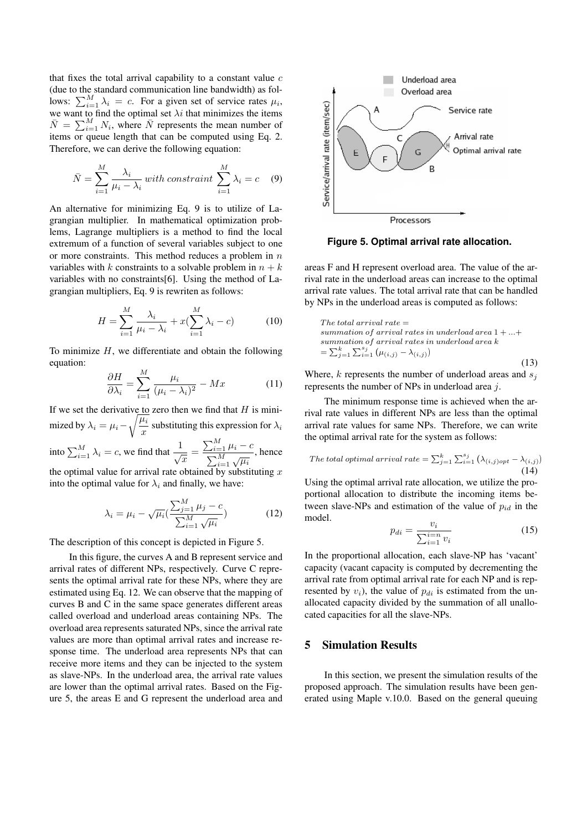that fixes the total arrival capability to a constant value  $c$ (due to the standard communication line bandwidth) as fol-(due to the standard communication line bandwidth) as follows:  $\sum_{i=1}^{M} \lambda_i = c$ . For a given set of service rates  $\mu_i$ , we want to find the optimal set  $\lambda i$  that minimizes the items we want to lind the optimal set  $\lambda i$  that minimizes the neins  $\bar{N} = \sum_{i=1}^{M} N_i$ , where  $\bar{N}$  represents the mean number of items or queue length that can be computed using Eq. 2. Therefore, we can derive the following equation:

$$
\bar{N} = \sum_{i=1}^{M} \frac{\lambda_i}{\mu_i - \lambda_i} \text{ with constraint } \sum_{i=1}^{M} \lambda_i = c \quad (9)
$$

An alternative for minimizing Eq. 9 is to utilize of Lagrangian multiplier. In mathematical optimization problems, Lagrange multipliers is a method to find the local extremum of a function of several variables subject to one or more constraints. This method reduces a problem in  $n$ variables with k constraints to a solvable problem in  $n + k$ variables with no constraints[6]. Using the method of Lagrangian multipliers, Eq. 9 is rewriten as follows:

$$
H = \sum_{i=1}^{M} \frac{\lambda_i}{\mu_i - \lambda_i} + x(\sum_{i=1}^{M} \lambda_i - c)
$$
 (10)

To minimize  $H$ , we differentiate and obtain the following equation:

$$
\frac{\partial H}{\partial \lambda_i} = \sum_{i=1}^{M} \frac{\mu_i}{(\mu_i - \lambda_i)^2} - Mx \tag{11}
$$

If we set the derivative to zero then we find that  $H$  is mini-If we set the derivative to<br>mized by  $\lambda_i = \mu_i - \sqrt{\frac{\mu_i}{n_i}}$  $\frac{x_i}{x}$  substituting this expression for  $\lambda_i$ into  $\sum_{i=1}^{M} \lambda_i = c$ , we find that  $\frac{1}{\sqrt{x}} =$  $\frac{\sum_{i=1}^{M} \mu_i - c}{\sum_{i=1}^{M} \sqrt{\mu_i}}$ , hence the optimal value for arrival rate obtained by substituting x

into the optimal value for  $\lambda_i$  and finally, we have:

$$
\lambda_i = \mu_i - \sqrt{\mu_i} \left( \frac{\sum_{j=1}^{M} \mu_j - c}{\sum_{i=1}^{M} \sqrt{\mu_i}} \right)
$$
(12)

The description of this concept is depicted in Figure 5.

In this figure, the curves A and B represent service and arrival rates of different NPs, respectively. Curve C represents the optimal arrival rate for these NPs, where they are estimated using Eq. 12. We can observe that the mapping of curves B and C in the same space generates different areas called overload and underload areas containing NPs. The overload area represents saturated NPs, since the arrival rate values are more than optimal arrival rates and increase response time. The underload area represents NPs that can receive more items and they can be injected to the system as slave-NPs. In the underload area, the arrival rate values are lower than the optimal arrival rates. Based on the Figure 5, the areas E and G represent the underload area and



**Figure 5. Optimal arrival rate allocation.**

areas F and H represent overload area. The value of the arrival rate in the underload areas can increase to the optimal arrival rate values. The total arrival rate that can be handled by NPs in the underload areas is computed as follows:

The total arrival rate  $=$ summation of arrival rates in underload area  $1 + ... +$ summation of arrival rates in underload area k  $=\sum_{j=1}^k \sum_{i=1}^{s_j} (\mu_{(i,j)} - \lambda_{(i,j)})$ (13)

Where,  $k$  represents the number of underload areas and  $s_i$ represents the number of NPs in underload area j.

The minimum response time is achieved when the arrival rate values in different NPs are less than the optimal arrival rate values for same NPs. Therefore, we can write the optimal arrival rate for the system as follows:

The total optimal arrival rate = 
$$
\sum_{j=1}^{k} \sum_{i=1}^{s_j} (\lambda_{(i,j)opt} - \lambda_{(i,j)})
$$
(14)

Using the optimal arrival rate allocation, we utilize the proportional allocation to distribute the incoming items between slave-NPs and estimation of the value of  $p_{id}$  in the model.

$$
p_{di} = \frac{v_i}{\sum_{i=1}^{i=n} v_i} \tag{15}
$$

In the proportional allocation, each slave-NP has 'vacant' capacity (vacant capacity is computed by decrementing the arrival rate from optimal arrival rate for each NP and is represented by  $v_i$ ), the value of  $p_{di}$  is estimated from the unallocated capacity divided by the summation of all unallocated capacities for all the slave-NPs.

# 5 Simulation Results

In this section, we present the simulation results of the proposed approach. The simulation results have been generated using Maple v.10.0. Based on the general queuing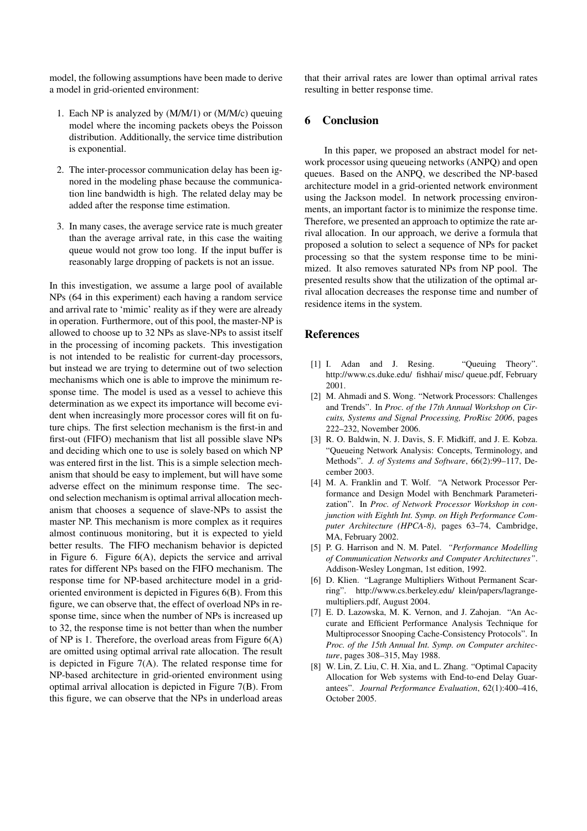model, the following assumptions have been made to derive a model in grid-oriented environment:

- 1. Each NP is analyzed by (M/M/1) or (M/M/c) queuing model where the incoming packets obeys the Poisson distribution. Additionally, the service time distribution is exponential.
- 2. The inter-processor communication delay has been ignored in the modeling phase because the communication line bandwidth is high. The related delay may be added after the response time estimation.
- 3. In many cases, the average service rate is much greater than the average arrival rate, in this case the waiting queue would not grow too long. If the input buffer is reasonably large dropping of packets is not an issue.

In this investigation, we assume a large pool of available NPs (64 in this experiment) each having a random service and arrival rate to 'mimic' reality as if they were are already in operation. Furthermore, out of this pool, the master-NP is allowed to choose up to 32 NPs as slave-NPs to assist itself in the processing of incoming packets. This investigation is not intended to be realistic for current-day processors, but instead we are trying to determine out of two selection mechanisms which one is able to improve the minimum response time. The model is used as a vessel to achieve this determination as we expect its importance will become evident when increasingly more processor cores will fit on future chips. The first selection mechanism is the first-in and first-out (FIFO) mechanism that list all possible slave NPs and deciding which one to use is solely based on which NP was entered first in the list. This is a simple selection mechanism that should be easy to implement, but will have some adverse effect on the minimum response time. The second selection mechanism is optimal arrival allocation mechanism that chooses a sequence of slave-NPs to assist the master NP. This mechanism is more complex as it requires almost continuous monitoring, but it is expected to yield better results. The FIFO mechanism behavior is depicted in Figure 6. Figure 6(A), depicts the service and arrival rates for different NPs based on the FIFO mechanism. The response time for NP-based architecture model in a gridoriented environment is depicted in Figures 6(B). From this figure, we can observe that, the effect of overload NPs in response time, since when the number of NPs is increased up to 32, the response time is not better than when the number of NP is 1. Therefore, the overload areas from Figure 6(A) are omitted using optimal arrival rate allocation. The result is depicted in Figure 7(A). The related response time for NP-based architecture in grid-oriented environment using optimal arrival allocation is depicted in Figure 7(B). From this figure, we can observe that the NPs in underload areas that their arrival rates are lower than optimal arrival rates resulting in better response time.

### 6 Conclusion

In this paper, we proposed an abstract model for network processor using queueing networks (ANPQ) and open queues. Based on the ANPQ, we described the NP-based architecture model in a grid-oriented network environment using the Jackson model. In network processing environments, an important factor is to minimize the response time. Therefore, we presented an approach to optimize the rate arrival allocation. In our approach, we derive a formula that proposed a solution to select a sequence of NPs for packet processing so that the system response time to be minimized. It also removes saturated NPs from NP pool. The presented results show that the utilization of the optimal arrival allocation decreases the response time and number of residence items in the system.

#### References

- [1] I. Adan and J. Resing. "Queuing Theory". http://www.cs.duke.edu/ fishhai/ misc/ queue.pdf, February 2001.
- [2] M. Ahmadi and S. Wong. "Network Processors: Challenges and Trends". In *Proc. of the 17th Annual Workshop on Circuits, Systems and Signal Processing, ProRisc 2006*, pages 222–232, November 2006.
- [3] R. O. Baldwin, N. J. Davis, S. F. Midkiff, and J. E. Kobza. "Queueing Network Analysis: Concepts, Terminology, and Methods". *J. of Systems and Software*, 66(2):99–117, December 2003.
- [4] M. A. Franklin and T. Wolf. "A Network Processor Performance and Design Model with Benchmark Parameterization". In *Proc. of Network Processor Workshop in conjunction with Eighth Int. Symp. on High Performance Computer Architecture (HPCA-8)*, pages 63–74, Cambridge, MA, February 2002.
- [5] P. G. Harrison and N. M. Patel. *"Performance Modelling of Communication Networks and Computer Architectures"*. Addison-Wesley Longman, 1st edition, 1992.
- [6] D. Klien. "Lagrange Multipliers Without Permanent Scarring". http://www.cs.berkeley.edu/ klein/papers/lagrangemultipliers.pdf, August 2004.
- [7] E. D. Lazowska, M. K. Vernon, and J. Zahojan. "An Accurate and Efficient Performance Analysis Technique for Multiprocessor Snooping Cache-Consistency Protocols". In *Proc. of the 15th Annual Int. Symp. on Computer architecture*, pages 308–315, May 1988.
- [8] W. Lin, Z. Liu, C. H. Xia, and L. Zhang. "Optimal Capacity Allocation for Web systems with End-to-end Delay Guarantees". *Journal Performance Evaluation*, 62(1):400–416, October 2005.